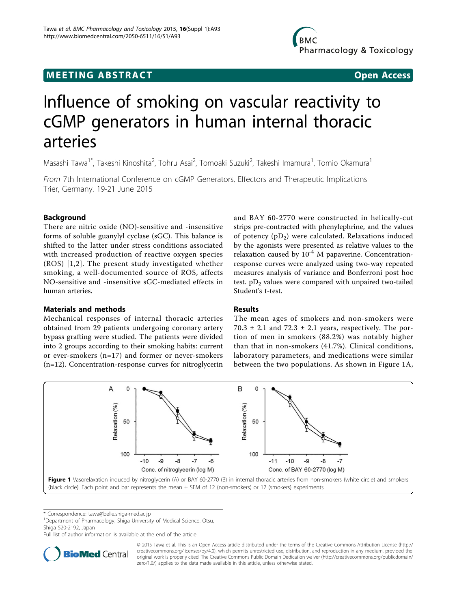# <span id="page-0-0"></span>**MEETING ABSTRACT And CONSTRACT CONSTRACT** And CONSTRACT AND CONSTRACT AND CONSTRACT AND CONSTRACT OPEN ACCESS

# Influence of smoking on vascular reactivity to cGMP generators in human internal thoracic arteries

Masashi Tawa<sup>1\*</sup>, Takeshi Kinoshita<sup>2</sup>, Tohru Asai<sup>2</sup>, Tomoaki Suzuki<sup>2</sup>, Takeshi Imamura<sup>1</sup>, Tomio Okamura<sup>1</sup>

From 7th International Conference on cGMP Generators, Effectors and Therapeutic Implications Trier, Germany. 19-21 June 2015

# Background

There are nitric oxide (NO)-sensitive and -insensitive forms of soluble guanylyl cyclase (sGC). This balance is shifted to the latter under stress conditions associated with increased production of reactive oxygen species (ROS) [[1](#page-1-0),[2\]](#page-1-0). The present study investigated whether smoking, a well-documented source of ROS, affects NO-sensitive and -insensitive sGC-mediated effects in human arteries.

### Materials and methods

Mechanical responses of internal thoracic arteries obtained from 29 patients undergoing coronary artery bypass grafting were studied. The patients were divided into 2 groups according to their smoking habits: current or ever-smokers (n=17) and former or never-smokers (n=12). Concentration-response curves for nitroglycerin and BAY 60-2770 were constructed in helically-cut strips pre-contracted with phenylephrine, and the values of potency  $(pD_2)$  were calculated. Relaxations induced by the agonists were presented as relative values to the relaxation caused by  $10^{-4}$  M papaverine. Concentrationresponse curves were analyzed using two-way repeated measures analysis of variance and Bonferroni post hoc test.  $pD_2$  values were compared with unpaired two-tailed Student's t-test.

## Results

The mean ages of smokers and non-smokers were 70.3  $\pm$  2.1 and 72.3  $\pm$  2.1 years, respectively. The portion of men in smokers (88.2%) was notably higher than that in non-smokers (41.7%). Clinical conditions, laboratory parameters, and medications were similar between the two populations. As shown in Figure 1A,



\* Correspondence: [tawa@belle.shiga-med.ac.jp](mailto:tawa@belle.shiga-med.ac.jp)

<sup>1</sup>Department of Pharmacology, Shiga University of Medical Science, Otsu, Shiga 520-2192, Japan

Full list of author information is available at the end of the article



© 2015 Tawa et al. This is an Open Access article distributed under the terms of the Creative Commons Attribution License [\(http://](http://creativecommons.org/licenses/by/4.0) [creativecommons.org/licenses/by/4.0](http://creativecommons.org/licenses/by/4.0)), which permits unrestricted use, distribution, and reproduction in any medium, provided the original work is properly cited. The Creative Commons Public Domain Dedication waiver ([http://creativecommons.org/publicdomain/](http://creativecommons.org/publicdomain/zero/1.0/) [zero/1.0/](http://creativecommons.org/publicdomain/zero/1.0/)) applies to the data made available in this article, unless otherwise stated.